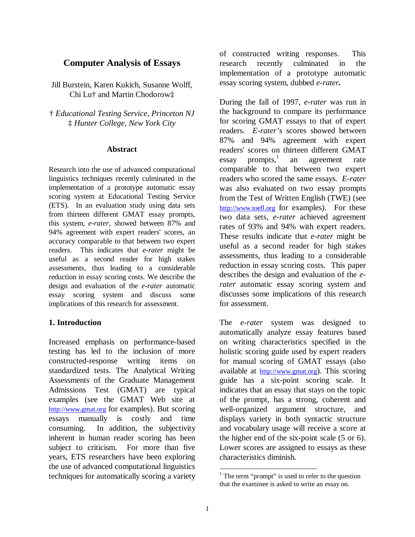# **Computer Analysis of Essays**

Jill Burstein, Karen Kukich, Susanne Wolff, Chi Lu† and Martin Chodorow‡

† *Educational Testing Service, Princeton NJ* ‡ *Hunter College, New York City*

### **Abstract**

Research into the use of advanced computational linguistics techniques recently culminated in the implementation of a prototype automatic essay scoring system at Educational Testing Service (ETS). In an evaluation study using data sets from thirteen different GMAT essay prompts, this system, *e-rater,* showed between 87% and 94% agreement with expert readers' scores, an accuracy comparable to that between two expert readers. This indicates that *e-rater* might be useful as a second reader for high stakes assessments, thus leading to a considerable reduction in essay scoring costs. We describe the design and evaluation of the *e-rater* automatic essay scoring system and discuss some implications of this research for assessment.

# **1. Introduction**

Increased emphasis on performance-based testing has led to the inclusion of more constructed-response writing items on standardized tests. The Analytical Writing Assessments of the Graduate Management Admissions Test (GMAT) are typical examples (see the GMAT Web site at http://www.gmat.org for examples). But scoring essays manually is costly and time consuming. In addition, the subjectivity inherent in human reader scoring has been subject to criticism. For more than five years, ETS researchers have been exploring the use of advanced computational linguistics techniques for automatically scoring a variety

of constructed writing responses. This research recently culminated in the implementation of a prototype automatic essay scoring system, dubbed *e-rater.*

During the fall of 1997, *e-rater* was run in the background to compare its performance for scoring GMAT essays to that of expert readers. *E-rater's* scores showed between 87% and 94% agreement with expert readers' scores on thirteen different GMAT  $\text{essay}$  prompts, an agreement rate comparable to that between two expert readers who scored the same essays. *E-rater* was also evaluated on two essay prompts from the Test of Written English (TWE) (see http://www.toefl.org for examples). For these two data sets, *e-rater* achieved agreement rates of 93% and 94% with expert readers. These results indicate that *e-rater* might be useful as a second reader for high stakes assessments, thus leading to a considerable reduction in essay scoring costs. This paper describes the design and evaluation of the *erater* automatic essay scoring system and discusses some implications of this research for assessment.

The *e-rater* system was designed to automatically analyze essay features based on writing characteristics specified in the holistic scoring guide used by expert readers for manual scoring of GMAT essays (also available at http://www.gmat.org). This scoring guide has a six-point scoring scale. It indicates that an essay that stays on the topic of the prompt, has a strong, coherent and well-organized argument structure, and displays variety in both syntactic structure and vocabulary usage will receive a score at the higher end of the six-point scale (5 or 6). Lower scores are assigned to essays as these characteristics diminish.

 $<sup>1</sup>$  The term "prompt" is used to refer to the question</sup> that the examinee is asked to write an essay on.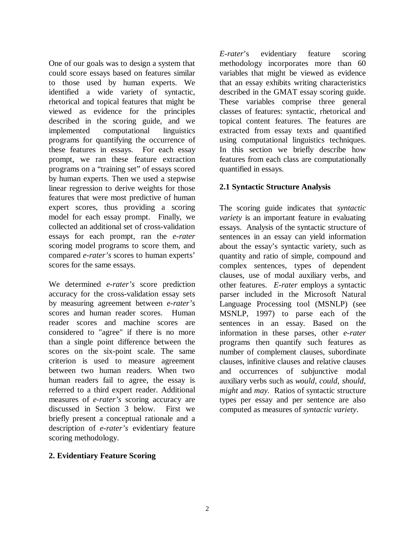One of our goals was to design a system that could score essays based on features similar to those used by human experts. We identified a wide variety of syntactic, rhetorical and topical features that might be viewed as evidence for the principles described in the scoring guide, and we implemented computational linguistics programs for quantifying the occurrence of these features in essays. For each essay prompt, we ran these feature extraction programs on a "training set" of essays scored by human experts. Then we used a stepwise linear regression to derive weights for those features that were most predictive of human expert scores, thus providing a scoring model for each essay prompt. Finally, we collected an additional set of cross-validation essays for each prompt, ran the *e-rater* scoring model programs to score them, and compared *e-rater's* scores to human experts' scores for the same essays.

We determined *e-rater's* score prediction accuracy for the cross-validation essay sets by measuring agreement between *e-rater's* scores and human reader scores. Human reader scores and machine scores are considered to "agree" if there is no more than a single point difference between the scores on the six-point scale. The same criterion is used to measure agreement between two human readers. When two human readers fail to agree, the essay is referred to a third expert reader. Additional measures of *e-rater's* scoring accuracy are discussed in Section 3 below. First we briefly present a conceptual rationale and a description of *e-rater's* evidentiary feature scoring methodology.

*E-rater*'s evidentiary feature scoring methodology incorporates more than 60 variables that might be viewed as evidence that an essay exhibits writing characteristics described in the GMAT essay scoring guide. These variables comprise three general classes of features: syntactic, rhetorical and topical content features. The features are extracted from essay texts and quantified using computational linguistics techniques. In this section we briefly describe how features from each class are computationally quantified in essays.

# **2.1 Syntactic Structure Analysis**

The scoring guide indicates that *syntactic variety* is an important feature in evaluating essays. Analysis of the syntactic structure of sentences in an essay can yield information about the essay's syntactic variety, such as quantity and ratio of simple, compound and complex sentences, types of dependent clauses, use of modal auxiliary verbs, and other features. *E-rater* employs a syntactic parser included in the Microsoft Natural Language Processing tool (MSNLP) (see MSNLP, 1997) to parse each of the sentences in an essay. Based on the information in these parses, other *e-rater* programs then quantify such features as number of complement clauses, subordinate clauses, infinitive clauses and relative clauses and occurrences of subjunctive modal auxiliary verbs such as *would*, *could*, *should*, *might* and *may.* Ratios of syntactic structure types per essay and per sentence are also computed as measures of *syntactic variety*.

# **2. Evidentiary Feature Scoring**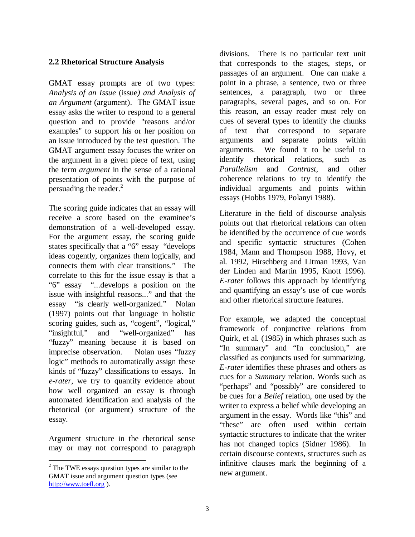## **2.2 Rhetorical Structure Analysis**

GMAT essay prompts are of two types: *Analysis of an Issue* (issue*) and Analysis of an Argument* (argument). The GMAT issue essay asks the writer to respond to a general question and to provide "reasons and/or examples" to support his or her position on an issue introduced by the test question. The GMAT argument essay focuses the writer on the argument in a given piece of text, using the term *argument* in the sense of a rational presentation of points with the purpose of persuading the reader. $^{2}$ 

The scoring guide indicates that an essay will receive a score based on the examinee's demonstration of a well-developed essay. For the argument essay, the scoring guide states specifically that a "6" essay "develops ideas cogently, organizes them logically, and connects them with clear transitions." The correlate to this for the issue essay is that a "6" essay "...develops a position on the issue with insightful reasons..." and that the essay "is clearly well-organized." Nolan (1997) points out that language in holistic scoring guides, such as, "cogent", "logical," "insightful," and "well-organized" has "fuzzy" meaning because it is based on imprecise observation. Nolan uses "fuzzy logic" methods to automatically assign these kinds of "fuzzy" classifications to essays. In *e-rater*, we try to quantify evidence about how well organized an essay is through automated identification and analysis of the rhetorical (or argument) structure of the essay.

Argument structure in the rhetorical sense may or may not correspond to paragraph divisions. There is no particular text unit that corresponds to the stages, steps, or passages of an argument. One can make a point in a phrase, a sentence, two or three sentences, a paragraph, two or three paragraphs, several pages, and so on. For this reason, an essay reader must rely on cues of several types to identify the chunks of text that correspond to separate arguments and separate points within arguments. We found it to be useful to identify rhetorical relations, such as *Parallelism* and *Contrast*, and other coherence relations to try to identify the individual arguments and points within essays (Hobbs 1979, Polanyi 1988).

Literature in the field of discourse analysis points out that rhetorical relations can often be identified by the occurrence of cue words and specific syntactic structures (Cohen 1984, Mann and Thompson 1988, Hovy, et al. 1992, Hirschberg and Litman 1993, Van der Linden and Martin 1995, Knott 1996). *E-rater* follows this approach by identifying and quantifying an essay's use of cue words and other rhetorical structure features.

For example, we adapted the conceptual framework of conjunctive relations from Quirk, et al. (1985) in which phrases such as "In summary" and "In conclusion," are classified as conjuncts used for summarizing*. E-rater* identifies these phrases and others as cues for a *Summary* relation. Words such as "perhaps" and "possibly" are considered to be cues for a *Belief* relation, one used by the writer to express a belief while developing an argument in the essay. Words like "this" and "these" are often used within certain syntactic structures to indicate that the writer has not changed topics (Sidner 1986). In certain discourse contexts, structures such as infinitive clauses mark the beginning of a new argument.

 $2$  The TWE essays question types are similar to the GMAT issue and argument question types (see http://www.toefl.org ).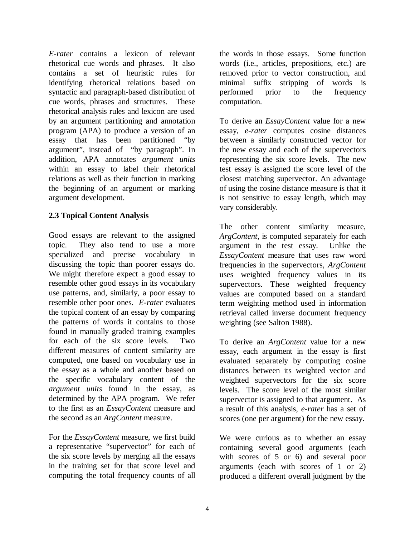*E-rater* contains a lexicon of relevant rhetorical cue words and phrases. It also contains a set of heuristic rules for identifying rhetorical relations based on syntactic and paragraph-based distribution of cue words, phrases and structures. These rhetorical analysis rules and lexicon are used by an argument partitioning and annotation program (APA) to produce a version of an essay that has been partitioned "by argument", instead of "by paragraph". In addition, APA annotates *argument units* within an essay to label their rhetorical relations as well as their function in marking the beginning of an argument or marking argument development.

# **2.3 Topical Content Analysis**

Good essays are relevant to the assigned topic. They also tend to use a more specialized and precise vocabulary in discussing the topic than poorer essays do. We might therefore expect a good essay to resemble other good essays in its vocabulary use patterns, and, similarly, a poor essay to resemble other poor ones. *E-rater* evaluates the topical content of an essay by comparing the patterns of words it contains to those found in manually graded training examples for each of the six score levels. Two different measures of content similarity are computed, one based on vocabulary use in the essay as a whole and another based on the specific vocabulary content of the *argument units* found in the essay, as determined by the APA program. We refer to the first as an *EssayContent* measure and the second as an *ArgContent* measure.

For the *EssayContent* measure, we first build a representative "supervector" for each of the six score levels by merging all the essays in the training set for that score level and computing the total frequency counts of all the words in those essays. Some function words (i.e., articles, prepositions, etc.) are removed prior to vector construction, and minimal suffix stripping of words is performed prior to the frequency computation.

To derive an *EssayContent* value for a new essay, *e-rater* computes cosine distances between a similarly constructed vector for the new essay and each of the supervectors representing the six score levels. The new test essay is assigned the score level of the closest matching supervector. An advantage of using the cosine distance measure is that it is not sensitive to essay length, which may vary considerably.

The other content similarity measure, *ArgContent*, is computed separately for each argument in the test essay. Unlike the *EssayContent* measure that uses raw word frequencies in the supervectors, *ArgContent* uses weighted frequency values in its supervectors. These weighted frequency values are computed based on a standard term weighting method used in information retrieval called inverse document frequency weighting (see Salton 1988).

To derive an *ArgContent* value for a new essay, each argument in the essay is first evaluated separately by computing cosine distances between its weighted vector and weighted supervectors for the six score levels. The score level of the most similar supervector is assigned to that argument. As a result of this analysis, *e-rater* has a set of scores (one per argument) for the new essay.

We were curious as to whether an essay containing several good arguments (each with scores of 5 or 6) and several poor arguments (each with scores of 1 or 2) produced a different overall judgment by the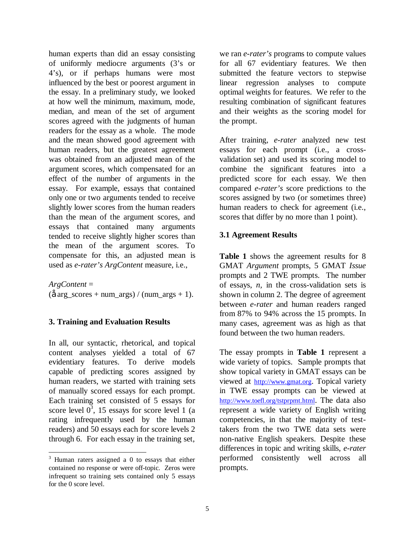human experts than did an essay consisting of uniformly mediocre arguments (3's or 4's), or if perhaps humans were most influenced by the best or poorest argument in the essay. In a preliminary study, we looked at how well the minimum, maximum, mode, median, and mean of the set of argument scores agreed with the judgments of human readers for the essay as a whole. The mode and the mean showed good agreement with human readers, but the greatest agreement was obtained from an adjusted mean of the argument scores, which compensated for an effect of the number of arguments in the essay. For example, essays that contained only one or two arguments tended to receive slightly lower scores from the human readers than the mean of the argument scores, and essays that contained many arguments tended to receive slightly higher scores than the mean of the argument scores. To compensate for this, an adjusted mean is used as *e-rater's ArgContent* measure, i.e.,

### *ArgContent* =

 $\frac{\text{arg}}{\text{scores} + \text{num\_args}}$  /  $\frac{\text{num\_args} + 1}{\text{num\_args}}$ .

### **3. Training and Evaluation Results**

In all, our syntactic, rhetorical, and topical content analyses yielded a total of 67 evidentiary features. To derive models capable of predicting scores assigned by human readers, we started with training sets of manually scored essays for each prompt. Each training set consisted of 5 essays for score level  $0^3$ , 15 essays for score level 1 (a rating infrequently used by the human readers) and 50 essays each for score levels 2 through 6. For each essay in the training set,

we ran *e-rater's* programs to compute values for all 67 evidentiary features. We then submitted the feature vectors to stepwise linear regression analyses to compute optimal weights for features. We refer to the resulting combination of significant features and their weights as the scoring model for the prompt.

After training, *e-rater* analyzed new test essays for each prompt (i.e., a crossvalidation set) and used its scoring model to combine the significant features into a predicted score for each essay. We then compared *e-rater's* score predictions to the scores assigned by two (or sometimes three) human readers to check for agreement (i.e., scores that differ by no more than 1 point).

### **3.1 Agreement Results**

**Table 1** shows the agreement results for 8 GMAT *Argument* prompts, 5 GMAT *Issue* prompts and 2 TWE prompts. The number of essays, *n,* in the cross-validation sets is shown in column 2. The degree of agreement between *e-rater* and human readers ranged from 87% to 94% across the 15 prompts. In many cases, agreement was as high as that found between the two human readers.

The essay prompts in **Table 1** represent a wide variety of topics. Sample prompts that show topical variety in GMAT essays can be viewed at http://www.gmat.org. Topical variety in TWE essay prompts can be viewed at http://www.toefl.org/tstprpmt.html. The data also represent a wide variety of English writing competencies, in that the majority of testtakers from the two TWE data sets were non-native English speakers. Despite these differences in topic and writing skills, *e-rater* performed consistently well across all prompts.

 $3$  Human raters assigned a 0 to essays that either contained no response or were off-topic. Zeros were infrequent so training sets contained only 5 essays for the 0 score level.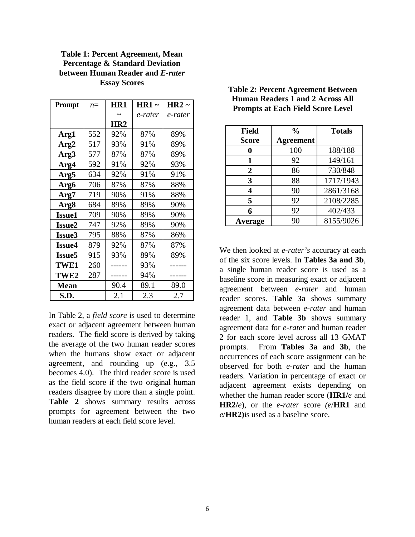### **Table 1: Percent Agreement, Mean Percentage & Standard Deviation between Human Reader and** *E-rater* **Essay Scores**

| Prompt             | $n =$ | HR1             | $HR1 \sim$ | $HR2 \sim$ |
|--------------------|-------|-----------------|------------|------------|
|                    |       |                 | e-rater    | e-rater    |
|                    |       | HR <sub>2</sub> |            |            |
| Arg1               | 552   | 92%             | 87%        | 89%        |
| Arg2               | 517   | 93%             | 91%        | 89%        |
| Arg3               | 577   | 87%             | 87%        | 89%        |
| Arg4               | 592   | 91%             | 92%        | 93%        |
| Arg5               | 634   | 92%             | 91%        | 91%        |
| Arg6               | 706   | 87%             | 87%        | 88%        |
| Arg7               | 719   | 90%             | 91%        | 88%        |
| Arg8               | 684   | 89%             | 89%        | 90%        |
| <b>Issue1</b>      | 709   | 90%             | 89%        | 90%        |
| <b>Issue2</b>      | 747   | 92%             | 89%        | 90%        |
| <b>Issue3</b>      | 795   | 88%             | 87%        | 86%        |
| Issue <sub>4</sub> | 879   | 92%             | 87%        | 87%        |
| <b>Issue5</b>      | 915   | 93%             | 89%        | 89%        |
| <b>TWE1</b>        | 260   |                 | 93%        |            |
| TWE2               | 287   |                 | 94%        |            |
| <b>Mean</b>        |       | 90.4            | 89.1       | 89.0       |
| S.D.               |       | 2.1             | 2.3        | 2.7        |

In Table 2, a *field score* is used to determine exact or adjacent agreement between human readers. The field score is derived by taking the average of the two human reader scores when the humans show exact or adjacent agreement, and rounding up (e.g., 3.5 becomes 4.0). The third reader score is used as the field score if the two original human readers disagree by more than a single point. **Table 2** shows summary results across prompts for agreement between the two human readers at each field score level.

## **Table 2: Percent Agreement Between Human Readers 1 and 2 Across All Prompts at Each Field Score Level**

| <b>Field</b>   | $\frac{0}{0}$    | <b>Totals</b> |
|----------------|------------------|---------------|
| <b>Score</b>   | <b>Agreement</b> |               |
|                | 100              | 188/188       |
| 1              | 92               | 149/161       |
| $\overline{2}$ | 86               | 730/848       |
| 3              | 88               | 1717/1943     |
| 4              | 90               | 2861/3168     |
| 5              | 92               | 2108/2285     |
| 6              | 92               | 402/433       |
| <b>Average</b> | 90               | 8155/9026     |

We then looked at *e-rater's* accuracy at each of the six score levels. In **Tables 3a and 3b**, a single human reader score is used as a baseline score in measuring exact or adjacent agreement between *e-rater* and human reader scores. **Table 3a** shows summary agreement data between *e-rater* and human reader 1, and **Table 3b** shows summary agreement data for *e-rater* and human reader 2 for each score level across all 13 GMAT prompts. From **Tables 3a** and **3b**, the occurrences of each score assignment can be observed for both *e-rater* and the human readers. Variation in percentage of exact or adjacent agreement exists depending on whether the human reader score (**HR1/***e* and **HR2/***e*), or the *e-rater* score *(e*/**HR1** and *e*/**HR2)**is used as a baseline score.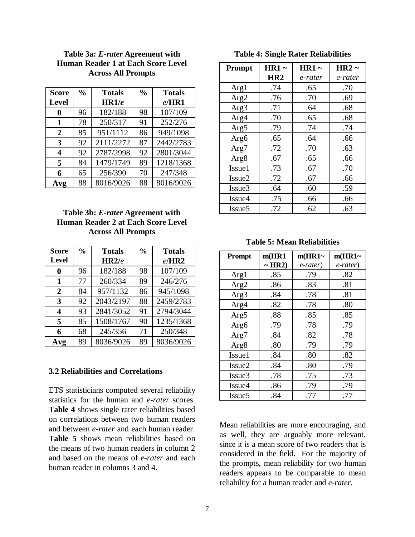| <b>Score</b>     | $\frac{0}{0}$ | <b>Totals</b> | $\frac{0}{0}$ | <b>Totals</b> |
|------------------|---------------|---------------|---------------|---------------|
| <b>Level</b>     |               | HR1/e         |               | $e$ /HR1      |
| 0                | 96            | 182/188       | 98            | 107/109       |
| 1                | 78            | 250/317       | 91            | 252/276       |
| 2                | 85            | 951/1112      | 86            | 949/1098      |
| 3                | 92            | 2111/2272     | 87            | 2442/2783     |
| $\boldsymbol{4}$ | 92            | 2787/2998     | 92            | 2801/3044     |
| 5                | 84            | 1479/1749     | 89            | 1218/1368     |
| 6                | 65            | 256/390       | 70            | 247/348       |
| Avg              | 88            | 8016/9026     | 88            | 8016/9026     |

# **Table 3a:** *E-rater* **Agreement with Human Reader 1 at Each Score Level Across All Prompts**

# **Table 3b:** *E-rater* **Agreement with Human Reader 2 at Each Score Level Across All Prompts**

| <b>Score</b>            | $\frac{0}{0}$ | <b>Totals</b> | $\frac{0}{0}$ | <b>Totals</b> |
|-------------------------|---------------|---------------|---------------|---------------|
| Level                   |               | HR2/e         |               | $e$ /HR2      |
| 0                       | 96            | 182/188       | 98            | 107/109       |
| 1                       | 77            | 260/334       | 89            | 246/276       |
| 2                       | 84            | 957/1132      | 86            | 945/1098      |
| 3                       | 92            | 2043/2197     | 88            | 2459/2783     |
| $\overline{\mathbf{4}}$ | 93            | 2841/3052     | 91            | 2794/3044     |
| 5                       | 85            | 1508/1767     | 90            | 1235/1368     |
| 6                       | 68            | 245/356       | 71            | 250/348       |
|                         | 89            | 8036/9026     | 89            | 8036/9026     |

#### **3.2 Reliabilities and Correlations**

ETS statisticians computed several reliability statistics for the human and *e-rater* scores. **Table 4** shows single rater reliabilities based on correlations between two human readers and between *e-rater* and each human reader. **Table 5** shows mean reliabilities based on the means of two human readers in column 2 and based on the means of *e-rater* and each human reader in columns 3 and 4.

**Table 4: Single Rater Reliabilities**

| <b>Prompt</b>      | $HR1 ~\sim$ | $HR1 ~\sim$ | $HR2 \sim$ |
|--------------------|-------------|-------------|------------|
|                    | HR2         | e-rater     | e-rater    |
| Arg1               | .74         | .65         | .70        |
| Arg2               | .76         | .70         | .69        |
| Arg3               | .71         | .64         | .68        |
| Arg4               | .70         | .65         | .68        |
| Arg5               | .79         | .74         | .74        |
| Arg6               | .65         | .64         | .66        |
| Arg7               | .72         | .70         | .63        |
| Arg8               | .67         | .65         | .66        |
| Issue1             | .73         | .67         | .70        |
| Issue <sub>2</sub> | .72         | .67         | .66        |
| Issue <sub>3</sub> | .64         | .60         | .59        |
| Issue <sub>4</sub> | .75         | .66         | .66        |
| Issue <sub>5</sub> | .72         | .62         | .63        |

**Table 5: Mean Reliabilities**

| <b>Prompt</b>      | m(HR1)      | m(HR1~   | m(HR1~   |
|--------------------|-------------|----------|----------|
|                    | $\sim$ HR2) | e-rater) | e-rater) |
| Arg1               | .85         | .79      | .82      |
| Arg2               | .86         | .83      | .81      |
| Arg <sub>3</sub>   | .84         | .78      | .81      |
| Arg4               | .82         | .78      | .80      |
| Arg5               | .88         | .85      | .85      |
| Arg6               | .79         | .78      | .79      |
| Arg7               | .84         | .82      | .78      |
| Arg <sub>8</sub>   | .80         | .79      | .79      |
| Issue1             | .84         | .80      | .82      |
| Issue <sub>2</sub> | .84         | .80      | .79      |
| Issue <sub>3</sub> | .78         | .75      | .73      |
| Issue4             | .86         | .79      | .79      |
| Issue <sub>5</sub> | .84         | .77      | .77      |

Mean reliabilities are more encouraging, and as well, they are arguably more relevant, since it is a mean score of two readers that is considered in the field. For the majority of the prompts, mean reliability for two human readers appears to be comparable to mean reliability for a human reader and *e-rater.*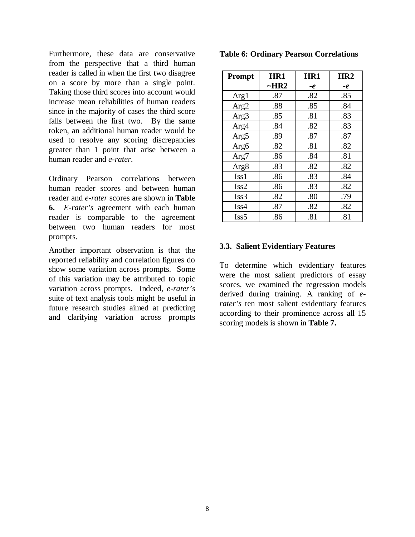Furthermore, these data are conservative from the perspective that a third human reader is called in when the first two disagree on a score by more than a single point. Taking those third scores into account would increase mean reliabilities of human readers since in the majority of cases the third score falls between the first two. By the same token, an additional human reader would be used to resolve any scoring discrepancies greater than 1 point that arise between a human reader and *e-rater*.

Ordinary Pearson correlations between human reader scores and between human reader and *e-rater* scores are shown in **Table 6.** *E-rater's* agreement with each human reader is comparable to the agreement between two human readers for most prompts.

Another important observation is that the reported reliability and correlation figures do show some variation across prompts. Some of this variation may be attributed to topic variation across prompts. Indeed, *e-rater's* suite of text analysis tools might be useful in future research studies aimed at predicting and clarifying variation across prompts

#### **Table 6: Ordinary Pearson Correlations**

| <b>Prompt</b>    | HR1    | HR1  | HR <sub>2</sub> |
|------------------|--------|------|-----------------|
|                  | $-HR2$ | $-e$ | $-e$            |
| Arg1             | .87    | .82  | .85             |
| Arg <sub>2</sub> | .88    | .85  | .84             |
| Arg <sub>3</sub> | .85    | .81  | .83             |
| Arg4             | .84    | .82  | .83             |
| Arg5             | .89    | .87  | .87             |
| Arg6             | .82    | .81  | .82             |
| Arg7             | .86    | .84  | .81             |
| Arg8             | .83    | .82  | .82             |
| Iss1             | .86    | .83  | .84             |
| Iss2             | .86    | .83  | .82             |
| Iss3             | .82    | .80  | .79             |
| Iss4             | .87    | .82  | .82             |
| $I$ ss5          | .86    | .81  | .81             |

#### **3.3. Salient Evidentiary Features**

To determine which evidentiary features were the most salient predictors of essay scores, we examined the regression models derived during training. A ranking of *erater's* ten most salient evidentiary features according to their prominence across all 15 scoring models is shown in **Table 7.**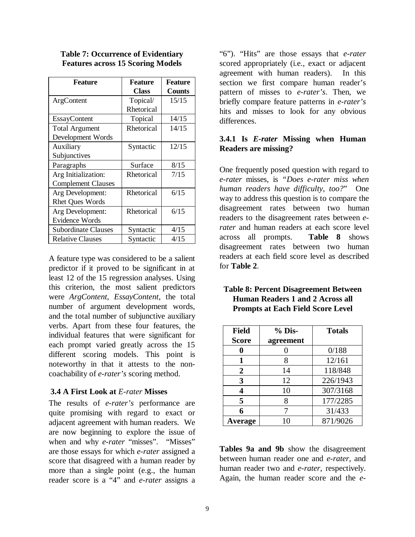| <b>Feature</b>             | <b>Feature</b> | <b>Feature</b> |
|----------------------------|----------------|----------------|
|                            | <b>Class</b>   | <b>Counts</b>  |
| ArgContent                 | Topical/       | 15/15          |
|                            | Rhetorical     |                |
| EssayContent               | Topical        | 14/15          |
| <b>Total Argument</b>      | Rhetorical     | 14/15          |
| Development Words          |                |                |
| Auxiliary                  | Syntactic      | 12/15          |
| Subjunctives               |                |                |
| Paragraphs                 | Surface        | 8/15           |
| Arg Initialization:        | Rhetorical     | 7/15           |
| <b>Complement Clauses</b>  |                |                |
| Arg Development:           | Rhetorical     | 6/15           |
| <b>Rhet Ques Words</b>     |                |                |
| Arg Development:           | Rhetorical     | 6/15           |
| <b>Evidence Words</b>      |                |                |
| <b>Subordinate Clauses</b> | Syntactic      | 4/15           |
| <b>Relative Clauses</b>    | Syntactic      | 4/15           |

**Table 7: Occurrence of Evidentiary Features across 15 Scoring Models**

A feature type was considered to be a salient predictor if it proved to be significant in at least 12 of the 15 regression analyses. Using this criterion, the most salient predictors were *ArgContent, EssayContent*, the total number of argument development words, and the total number of subjunctive auxiliary verbs. Apart from these four features, the individual features that were significant for each prompt varied greatly across the 15 different scoring models. This point is noteworthy in that it attests to the noncoachability of *e-rater's* scoring method.

### **3.4 A First Look at** *E-rater* **Misses**

The results of *e-rater's* performance are quite promising with regard to exact or adjacent agreement with human readers. We are now beginning to explore the issue of when and why *e-rater* "misses". "Misses" are those essays for which *e-rater* assigned a score that disagreed with a human reader by more than a single point (e.g., the human reader score is a "4" and *e-rater* assigns a

"6"). "Hits" are those essays that *e-rater* scored appropriately (i.e., exact or adjacent agreement with human readers). In this section we first compare human reader's pattern of misses to *e-rater's*. Then, we briefly compare feature patterns in *e-rater's* hits and misses to look for any obvious differences.

### **3.4.1 Is** *E-rater* **Missing when Human Readers are missing?**

One frequently posed question with regard to *e-rater* misses, is *"Does e-rater miss when human readers have difficulty, too?*" One way to address this question is to compare the disagreement rates between two human readers to the disagreement rates between *erater* and human readers at each score level across all prompts. **Table 8** shows disagreement rates between two human readers at each field score level as described for **Table 2**.

# **Table 8: Percent Disagreement Between Human Readers 1 and 2 Across all Prompts at Each Field Score Level**

| <b>Field</b>     | $%$ Dis-  | <b>Totals</b> |
|------------------|-----------|---------------|
| <b>Score</b>     | agreement |               |
| 0                | 0         | 0/188         |
| 1                | 8         | 12/161        |
| $\boldsymbol{2}$ | 14        | 118/848       |
| 3                | 12        | 226/1943      |
| 4                | 10        | 307/3168      |
| 5                | 8         | 177/2285      |
| 6                |           | 31/433        |
| <b>Average</b>   | 10        | 871/9026      |

**Tables 9a and 9b** show the disagreement between human reader one and *e-rater*, and human reader two and *e-rater*, respectively. Again, the human reader score and the *e-*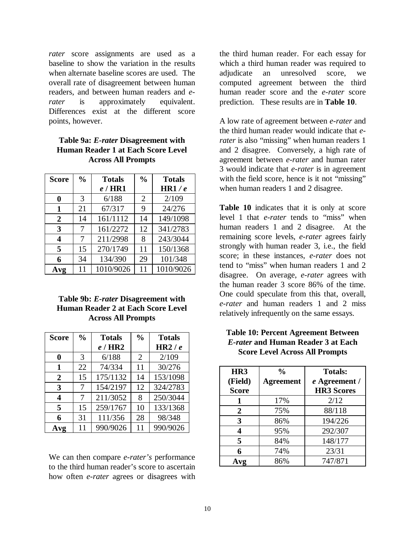*rater* score assignments are used as a baseline to show the variation in the results when alternate baseline scores are used. The overall rate of disagreement between human readers, and between human readers and *erater* is approximately equivalent. Differences exist at the different score points, however.

# **Table 9a:** *E-rater* **Disagreement with Human Reader 1 at Each Score Level Across All Prompts**

| <b>Score</b>   | $\frac{0}{0}$ | <b>Totals</b> | $\frac{0}{0}$ | <b>Totals</b> |
|----------------|---------------|---------------|---------------|---------------|
|                |               | $e$ / HR1     |               | HR1/e         |
| $\mathbf 0$    | 3             | 6/188         | 2             | 2/109         |
| 1              | 21            | 67/317        | 9             | 24/276        |
| $\overline{2}$ | 14            | 161/1112      | 14            | 149/1098      |
| 3              | 7             | 161/2272      | 12            | 341/2783      |
| 4              | 7             | 211/2998      | 8             | 243/3044      |
| 5              | 15            | 270/1749      | 11            | 150/1368      |
| 6              | 34            | 134/390       | 29            | 101/348       |
| Avg            | 11            | 1010/9026     | 11            | 1010/9026     |

# **Table 9b:** *E-rater* **Disagreement with Human Reader 2 at Each Score Level Across All Prompts**

| <b>Score</b>           | $\frac{0}{0}$ | <b>Totals</b> | $\frac{0}{0}$ | <b>Totals</b> |
|------------------------|---------------|---------------|---------------|---------------|
|                        |               | $e$ / HR2     |               | HR2/e         |
| 0                      | 3             | 6/188         | 2             | 2/109         |
| 1                      | 22            | 74/334        | 11            | 30/276        |
| 2                      | 15            | 175/1132      | 14            | 153/1098      |
| 3                      | 7             | 154/2197      | 12            | 324/2783      |
| $\boldsymbol{\Lambda}$ | 7             | 211/3052      | 8             | 250/3044      |
| 5                      | 15            | 259/1767      | 10            | 133/1368      |
| 6                      | 31            | 111/356       | 28            | 98/348        |
| Avg                    | 11            | 990/9026      | 11            | 990/9026      |

We can then compare *e-rater's* performance to the third human reader's score to ascertain how often *e-rater* agrees or disagrees with

the third human reader. For each essay for which a third human reader was required to adjudicate an unresolved score, we computed agreement between the third human reader score and the *e-rater* score prediction. These results are in **Table 10**.

A low rate of agreement between *e-rater* and the third human reader would indicate that *erater* is also "missing" when human readers 1 and 2 disagree. Conversely, a high rate of agreement between *e-rater* and human rater 3 would indicate that *e-rater* is in agreement with the field score, hence is it not "missing" when human readers 1 and 2 disagree.

**Table 10** indicates that it is only at score level 1 that *e-rater* tends to "miss" when human readers 1 and 2 disagree. At the remaining score levels, *e-rater* agrees fairly strongly with human reader 3, i.e., the field score; in these instances, *e-rater* does not tend to "miss" when human readers 1 and 2 disagree. On average, *e-rater* agrees with the human reader 3 score 86% of the time. One could speculate from this that, overall, *e-rater* and human readers 1 and 2 miss relatively infrequently on the same essays.

# **Table 10: Percent Agreement Between** *E-rater* **and Human Reader 3 at Each Score Level Across All Prompts**

| HR <sub>3</sub>  | $\frac{0}{0}$    | <b>Totals:</b>    |
|------------------|------------------|-------------------|
| (Field)          | <b>Agreement</b> | e Agreement /     |
| <b>Score</b>     |                  | <b>HR3 Scores</b> |
|                  | 17%              | 2/12              |
| $\overline{2}$   | 75%              | 88/118            |
| 3                | 86%              | 194/226           |
| $\boldsymbol{4}$ | 95%              | 292/307           |
| 5                | 84%              | 148/177           |
| 6                | 74%              | 23/31             |
| Avg              | 86%              | 747/871           |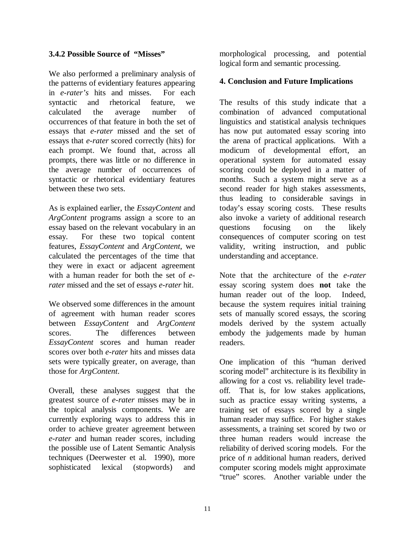# **3.4.2 Possible Source of "Misses"**

We also performed a preliminary analysis of the patterns of evidentiary features appearing in *e-rater's* hits and misses. For each syntactic and rhetorical feature, we calculated the average number of occurrences of that feature in both the set of essays that *e-rater* missed and the set of essays that *e-rater* scored correctly (hits) for each prompt. We found that, across all prompts, there was little or no difference in the average number of occurrences of syntactic or rhetorical evidentiary features between these two sets.

As is explained earlier, the *EssayContent* and *ArgContent* programs assign a score to an essay based on the relevant vocabulary in an essay. For these two topical content features, *EssayContent* and *ArgContent*, we calculated the percentages of the time that they were in exact or adjacent agreement with a human reader for both the set of *erater* missed and the set of essays *e-rater* hit.

We observed some differences in the amount of agreement with human reader scores between *EssayContent* and *ArgContent* scores. The differences between *EssayContent* scores and human reader scores over both *e-rater* hits and misses data sets were typically greater, on average, than those for *ArgContent*.

Overall, these analyses suggest that the greatest source of *e-rater* misses may be in the topical analysis components. We are currently exploring ways to address this in order to achieve greater agreement between *e-rater* and human reader scores, including the possible use of Latent Semantic Analysis techniques (Deerwester et al. 1990), more sophisticated lexical (stopwords) and

morphological processing, and potential logical form and semantic processing.

# **4. Conclusion and Future Implications**

The results of this study indicate that a combination of advanced computational linguistics and statistical analysis techniques has now put automated essay scoring into the arena of practical applications. With a modicum of developmental effort, an operational system for automated essay scoring could be deployed in a matter of months. Such a system might serve as a second reader for high stakes assessments, thus leading to considerable savings in today's essay scoring costs. These results also invoke a variety of additional research questions focusing on the likely consequences of computer scoring on test validity, writing instruction, and public understanding and acceptance.

Note that the architecture of the *e-rater* essay scoring system does **not** take the human reader out of the loop. Indeed, because the system requires initial training sets of manually scored essays, the scoring models derived by the system actually embody the judgements made by human readers.

One implication of this "human derived scoring model" architecture is its flexibility in allowing for a cost vs. reliability level tradeoff. That is, for low stakes applications, such as practice essay writing systems, a training set of essays scored by a single human reader may suffice. For higher stakes assessments, a training set scored by two or three human readers would increase the reliability of derived scoring models. For the price of *n* additional human readers, derived computer scoring models might approximate "true" scores. Another variable under the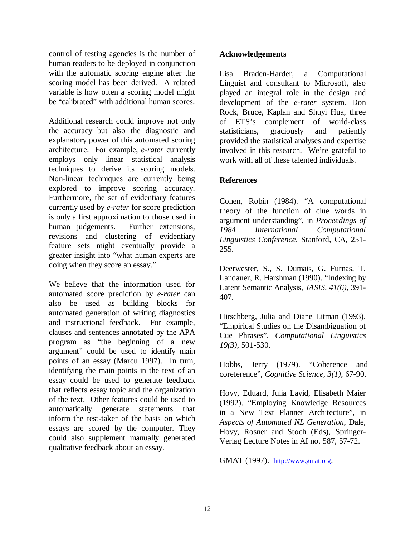control of testing agencies is the number of human readers to be deployed in conjunction with the automatic scoring engine after the scoring model has been derived. A related variable is how often a scoring model might be "calibrated" with additional human scores.

Additional research could improve not only the accuracy but also the diagnostic and explanatory power of this automated scoring architecture. For example, *e-rater* currently employs only linear statistical analysis techniques to derive its scoring models. Non-linear techniques are currently being explored to improve scoring accuracy. Furthermore, the set of evidentiary features currently used by *e-rater* for score prediction is only a first approximation to those used in human judgements. Further extensions, revisions and clustering of evidentiary feature sets might eventually provide a greater insight into "what human experts are doing when they score an essay."

We believe that the information used for automated score prediction by *e-rater* can also be used as building blocks for automated generation of writing diagnostics and instructional feedback. For example, clauses and sentences annotated by the APA program as "the beginning of a new argument" could be used to identify main points of an essay (Marcu 1997). In turn, identifying the main points in the text of an essay could be used to generate feedback that reflects essay topic and the organization of the text. Other features could be used to automatically generate statements that inform the test-taker of the basis on which essays are scored by the computer. They could also supplement manually generated qualitative feedback about an essay.

# **Acknowledgements**

Lisa Braden-Harder, a Computational Linguist and consultant to Microsoft, also played an integral role in the design and development of the *e-rater* system. Don Rock, Bruce, Kaplan and Shuyi Hua, three of ETS's complement of world-class statisticians, graciously and patiently provided the statistical analyses and expertise involved in this research. We're grateful to work with all of these talented individuals.

# **References**

Cohen, Robin (1984). "A computational theory of the function of clue words in argument understanding", in *Proceedings of 1984 International Computational Linguistics Conference*, Stanford, CA, 251- 255.

Deerwester, S., S. Dumais, G. Furnas, T. Landauer, R. Harshman (1990). "Indexing by Latent Semantic Analysis, *JASIS, 41(6),* 391- 407.

Hirschberg, Julia and Diane Litman (1993). "Empirical Studies on the Disambiguation of Cue Phrases", *Computational Linguistics 19(3)*, 501-530.

Hobbs, Jerry (1979). "Coherence and coreference", *Cognitive Science, 3(1),* 67-90.

Hovy, Eduard, Julia Lavid, Elisabeth Maier (1992). "Employing Knowledge Resources in a New Text Planner Architecture", in *Aspects of Automated NL Generation*, Dale, Hovy, Rosner and Stoch (Eds), Springer-Verlag Lecture Notes in AI no. 587, 57-72.

GMAT (1997). http://www.gmat.org.